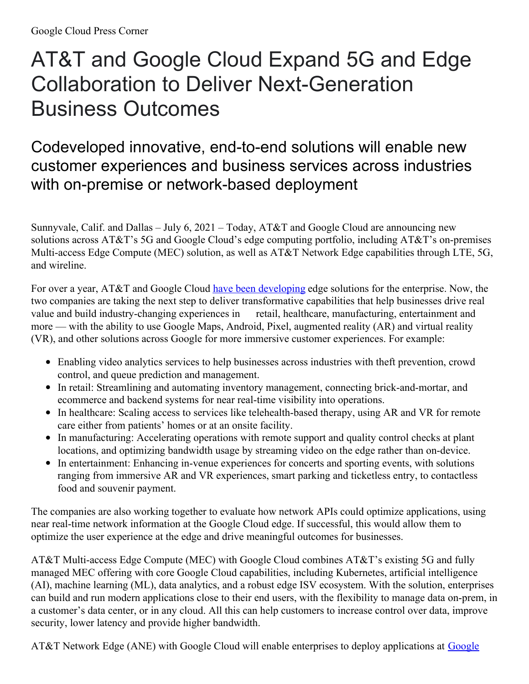## AT&T and Google Cloud Expand 5G and Edge Collaboration to Deliver Next-Generation Business Outcomes

## Codeveloped innovative, end-to-end solutions will enable new customer experiences and business services across industries with on-premise or network-based deployment

Sunnyvale, Calif. and Dallas – July 6, 2021 – Today, AT&T and Google Cloud are announcing new solutions across AT&T's 5G and Google Cloud's edge computing portfolio, including AT&T's on-premises Multi-access Edge Compute (MEC) solution, as well as AT&T Network Edge capabilities through LTE, 5G, and wireline.

For over a year, AT&T and Google Cloud have been [developing](https://cloud.google.com/press-releases/2020/0305/google-cloud-att-collaboration) edge solutions for the enterprise. Now, the two companies are taking the next step to deliver transformative capabilities that help businesses drive real value and build industry-changing experiences in retail, healthcare, manufacturing, entertainment and more — with the ability to use Google Maps, Android, Pixel, augmented reality (AR) and virtual reality (VR), and other solutions across Google for more immersive customer experiences. For example:

- Enabling video analytics services to help businesses across industries with theft prevention, crowd control, and queue prediction and management.
- In retail: Streamlining and automating inventory management, connecting brick-and-mortar, and ecommerce and backend systems for near real-time visibility into operations.
- In healthcare: Scaling access to services like telehealth-based therapy, using AR and VR for remote care either from patients' homes or at an onsite facility.
- In manufacturing: Accelerating operations with remote support and quality control checks at plant locations, and optimizing bandwidth usage by streaming video on the edge rather than on-device.
- In entertainment: Enhancing in-venue experiences for concerts and sporting events, with solutions ranging from immersive AR and VR experiences, smart parking and ticketless entry, to contactless food and souvenir payment.

The companies are also working together to evaluate how network APIs could optimize applications, using near real-time network information at the Google Cloud edge. If successful, this would allow them to optimize the user experience at the edge and drive meaningful outcomes for businesses.

AT&T Multi-access Edge Compute (MEC) with Google Cloud combines AT&T's existing 5G and fully managed MEC offering with core Google Cloud capabilities, including Kubernetes, artificial intelligence (AI), machine learning (ML), data analytics, and a robust edge ISV ecosystem. With the solution, enterprises can build and run modern applications close to their end users, with the flexibility to manage data on-prem, in a customer's data center, or in any cloud. All this can help customers to increase control over data, improve security, lower latency and provide higher bandwidth.

AT&T Network Edge (ANE) with Google Cloud will enable enterprises to deploy [applications](https://peering.google.com/#/infrastructure) at Google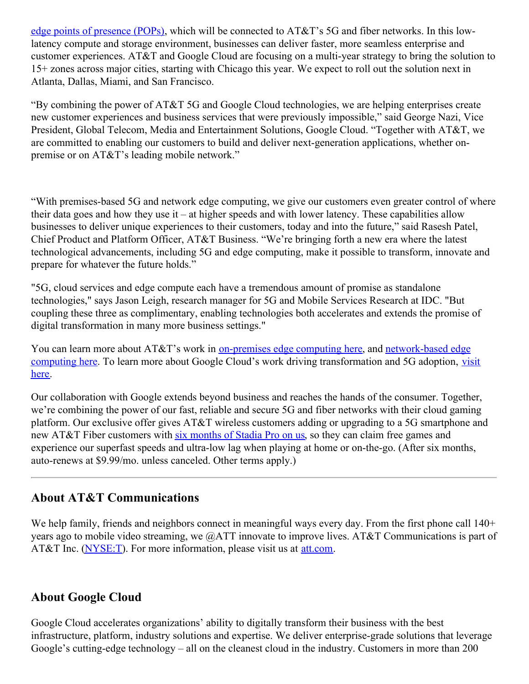edge points of presence (POPs), which will be connected to AT&T's 5G and fiber networks. In this lowlatency compute and storage environment, businesses can deliver faster, more seamless enterprise and customer experiences. AT&T and Google Cloud are focusing on a multi-year strategy to bring the solution to 15+ zones across major cities, starting with Chicago this year. We expect to roll out the solution next in Atlanta, Dallas, Miami, and San Francisco.

"By combining the power of AT&T 5G and Google Cloud technologies, we are helping enterprises create new customer experiences and business services that were previously impossible," said George Nazi, Vice President, Global Telecom, Media and Entertainment Solutions, Google Cloud. "Together with AT&T, we are committed to enabling our customers to build and deliver next-generation applications, whether onpremise or on AT&T's leading mobile network."

"With premises-based 5G and network edge computing, we give our customers even greater control of where their data goes and how they use it – at higher speeds and with lower latency. These capabilities allow businesses to deliver unique experiences to their customers, today and into the future," said Rasesh Patel, Chief Product and Platform Officer, AT&T Business. "We're bringing forth a new era where the latest technological advancements, including 5G and edge computing, make it possible to transform, innovate and prepare for whatever the future holds."

"5G, cloud services and edge compute each have a tremendous amount of promise as standalone technologies," says Jason Leigh, research manager for 5G and Mobile Services Research at IDC. "But coupling these three as complimentary, enabling technologies both accelerates and extends the promise of digital transformation in many more business settings."

You can learn more about AT&T's work in [on-premises](https://www.business.att.com/products/multi-access-edge-computing.html) edge computing here, and network-based edge computing here. To learn more about Google Cloud's work driving [transformation](https://www.business.att.com/products/att-network-edge.html) and 5G adoption, visit here.

Our collaboration with Google extends beyond business and reaches the hands of the consumer. Together, we're combining the power of our fast, reliable and secure 5G and fiber networks with their cloud gaming platform. Our exclusive offer gives AT&T wireless customers adding or upgrading to a 5G smartphone and new AT&T Fiber customers with six [months](https://urldefense.com/v3/__https:/www.att.com/gaming/__;!!HhhKMSGjjQV-!rH845Vu5e9PAPW7M3cW5gMofPk0YVVuWUGwSe1IV5W4CpkYhF9ggpW5YYlp5WjNNye0$) of Stadia Pro on us, so they can claim free games and experience our superfast speeds and ultra-low lag when playing at home or on-the-go. (After six months, auto-renews at \$9.99/mo. unless canceled. Other terms apply.)

## **About AT&T Communications**

We help family, friends and neighbors connect in meaningful ways every day. From the first phone call 140+ years ago to mobile video streaming, we @ATT innovate to improve lives. AT&T Communications is part of AT&T Inc. [\(NYSE:T](https://about.att.com/category/all_news.html)). For more information, please visit us at [att.com](https://www.att.com/).

## **About Google Cloud**

Google Cloud accelerates organizations' ability to digitally transform their business with the best infrastructure, platform, industry solutions and expertise. We deliver enterprise-grade solutions that leverage Google's cutting-edge technology – all on the cleanest cloud in the industry. Customers in more than 200